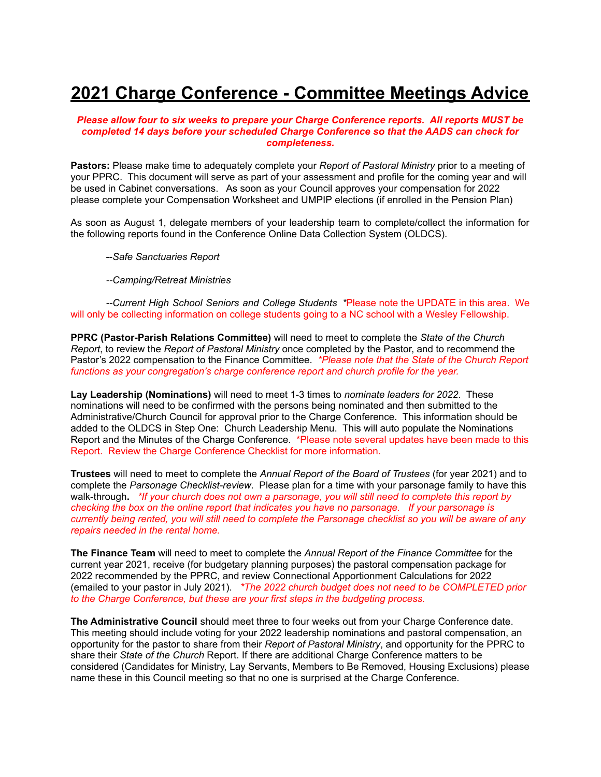## **2021 Charge Conference - Committee Meetings Advice**

## *Please allow four to six weeks to prepare your Charge Conference reports. All reports MUST be completed 14 days before your scheduled Charge Conference so that the AADS can check for completeness.*

**Pastors:** Please make time to adequately complete your *Report of Pastoral Ministry* prior to a meeting of your PPRC. This document will serve as part of your assessment and profile for the coming year and will be used in Cabinet conversations. As soon as your Council approves your compensation for 2022 please complete your Compensation Worksheet and UMPIP elections (if enrolled in the Pension Plan)

As soon as August 1, delegate members of your leadership team to complete/collect the information for the following reports found in the Conference Online Data Collection System (OLDCS).

--*Safe Sanctuaries Report*

*--Camping/Retreat Ministries*

*--Current High School Seniors and College Students \**Please note the UPDATE in this area. We will only be collecting information on college students going to a NC school with a Wesley Fellowship.

**PPRC (Pastor-Parish Relations Committee)** will need to meet to complete the *State of the Church Report*, to review the *Report of Pastoral Ministry* once completed by the Pastor, and to recommend the Pastor's 2022 compensation to the Finance Committee. *\*Please note that the State of the Church Report functions as your congregation's charge conference report and church profile for the year.*

**Lay Leadership (Nominations)** will need to meet 1-3 times to *nominate leaders for 2022*. These nominations will need to be confirmed with the persons being nominated and then submitted to the Administrative/Church Council for approval prior to the Charge Conference. This information should be added to the OLDCS in Step One: Church Leadership Menu. This will auto populate the Nominations Report and the Minutes of the Charge Conference. \*Please note several updates have been made to this Report. Review the Charge Conference Checklist for more information.

**Trustees** will need to meet to complete the *Annual Report of the Board of Trustees* (for year 2021) and to complete the *Parsonage Checklist-review*. Please plan for a time with your parsonage family to have this walk-through. \*If your church does not own a parsonage, you will still need to complete this report by *checking the box on the online report that indicates you have no parsonage. If your parsonage is* currently being rented, you will still need to complete the Parsonage checklist so you will be aware of any *repairs needed in the rental home.*

**The Finance Team** will need to meet to complete the *Annual Report of the Finance Committee* for the current year 2021, receive (for budgetary planning purposes) the pastoral compensation package for 2022 recommended by the PPRC, and review Connectional Apportionment Calculations for 2022 (emailed to your pastor in July 2021). *\*The 2022 church budget does not need to be COMPLETED prior to the Charge Conference, but these are your first steps in the budgeting process.*

**The Administrative Council** should meet three to four weeks out from your Charge Conference date. This meeting should include voting for your 2022 leadership nominations and pastoral compensation, an opportunity for the pastor to share from their *Report of Pastoral Ministry*, and opportunity for the PPRC to share their *State of the Church* Report. If there are additional Charge Conference matters to be considered (Candidates for Ministry, Lay Servants, Members to Be Removed, Housing Exclusions) please name these in this Council meeting so that no one is surprised at the Charge Conference.